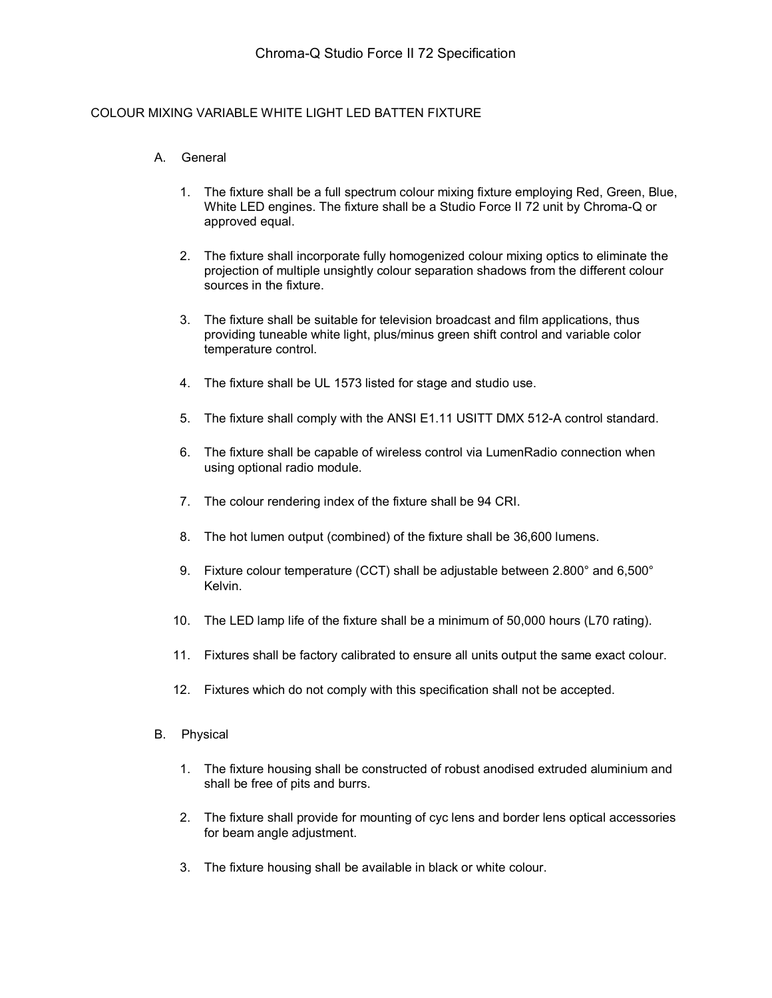## COLOUR MIXING VARIABLE WHITE LIGHT LED BATTEN FIXTURE

## A. General

- 1. The fixture shall be a full spectrum colour mixing fixture employing Red, Green, Blue, White LED engines. The fixture shall be a Studio Force II 72 unit by Chroma-Q or approved equal.
- 2. The fixture shall incorporate fully homogenized colour mixing optics to eliminate the projection of multiple unsightly colour separation shadows from the different colour sources in the fixture.
- 3. The fixture shall be suitable for television broadcast and film applications, thus providing tuneable white light, plus/minus green shift control and variable color temperature control.
- 4. The fixture shall be UL 1573 listed for stage and studio use.
- 5. The fixture shall comply with the ANSI E1.11 USITT DMX 512-A control standard.
- 6. The fixture shall be capable of wireless control via LumenRadio connection when using optional radio module.
- 7. The colour rendering index of the fixture shall be 94 CRI.
- 8. The hot lumen output (combined) of the fixture shall be 36,600 lumens.
- 9. Fixture colour temperature (CCT) shall be adjustable between 2.800° and 6,500° Kelvin.
- 10. The LED lamp life of the fixture shall be a minimum of 50,000 hours (L70 rating).
- 11. Fixtures shall be factory calibrated to ensure all units output the same exact colour.
- 12. Fixtures which do not comply with this specification shall not be accepted.
- B. Physical
	- 1. The fixture housing shall be constructed of robust anodised extruded aluminium and shall be free of pits and burrs.
	- 2. The fixture shall provide for mounting of cyc lens and border lens optical accessories for beam angle adjustment.
	- 3. The fixture housing shall be available in black or white colour.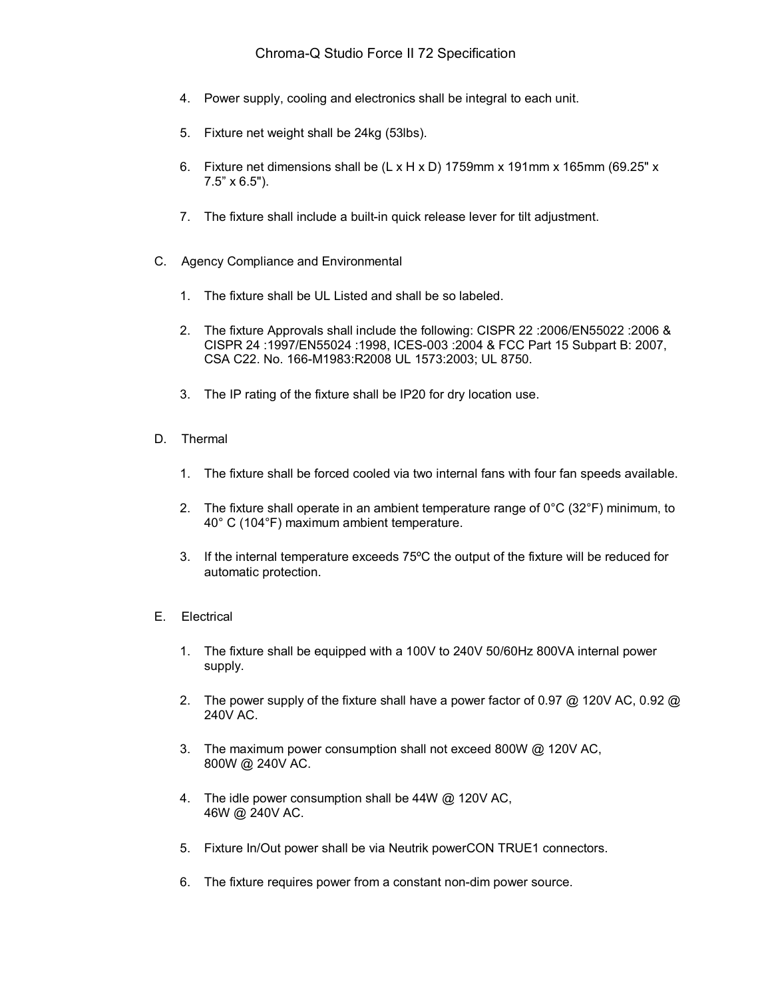- 4. Power supply, cooling and electronics shall be integral to each unit.
- 5. Fixture net weight shall be 24kg (53lbs).
- 6. Fixture net dimensions shall be  $(L \times H \times D)$  1759mm x 191mm x 165mm (69.25" x 7.5" x 6.5").
- 7. The fixture shall include a built-in quick release lever for tilt adjustment.
- C. Agency Compliance and Environmental
	- 1. The fixture shall be UL Listed and shall be so labeled.
	- 2. The fixture Approvals shall include the following: CISPR 22 :2006/EN55022 :2006 & CISPR 24 :1997/EN55024 :1998, ICES-003 :2004 & FCC Part 15 Subpart B: 2007, CSA C22. No. 166-M1983:R2008 UL 1573:2003; UL 8750.
	- 3. The IP rating of the fixture shall be IP20 for dry location use.
- D. Thermal
	- 1. The fixture shall be forced cooled via two internal fans with four fan speeds available.
	- 2. The fixture shall operate in an ambient temperature range of  $0^{\circ}C$  (32 $^{\circ}F$ ) minimum, to 40° C (104°F) maximum ambient temperature.
	- 3. If the internal temperature exceeds 75ºC the output of the fixture will be reduced for automatic protection.
- E. Electrical
	- 1. The fixture shall be equipped with a 100V to 240V 50/60Hz 800VA internal power supply.
	- 2. The power supply of the fixture shall have a power factor of 0.97 @ 120V AC, 0.92 @ 240V AC.
	- 3. The maximum power consumption shall not exceed 800W @ 120V AC, 800W @ 240V AC.
	- 4. The idle power consumption shall be 44W @ 120V AC, 46W @ 240V AC.
	- 5. Fixture In/Out power shall be via Neutrik powerCON TRUE1 connectors.
	- 6. The fixture requires power from a constant non-dim power source.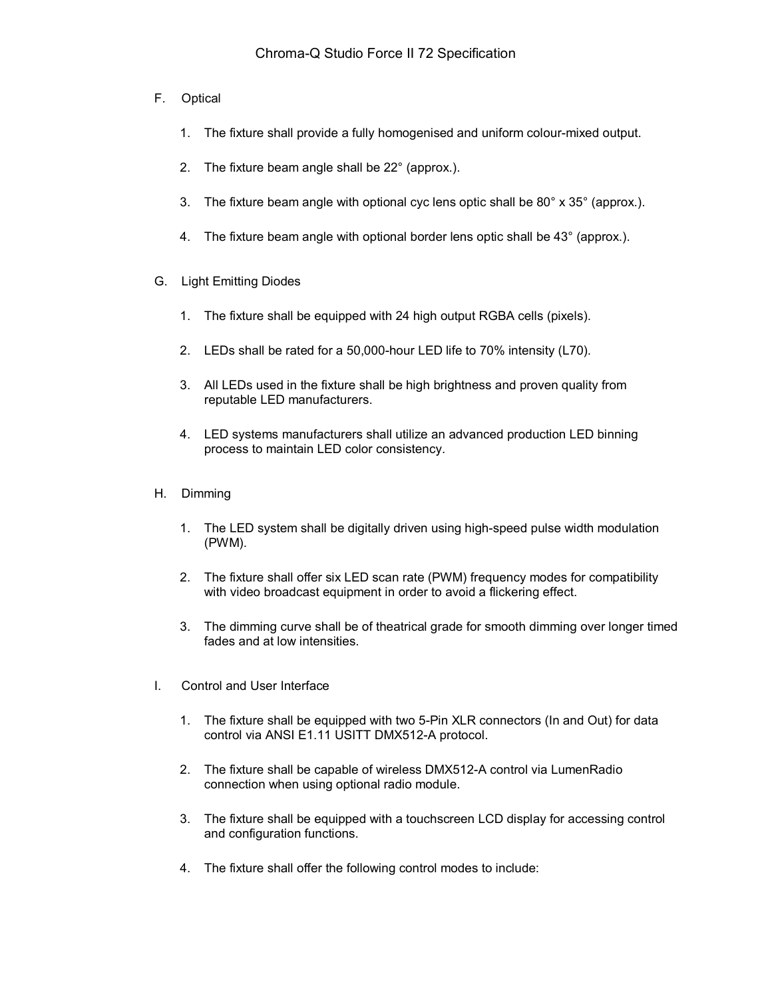- F. Optical
	- 1. The fixture shall provide a fully homogenised and uniform colour-mixed output.
	- 2. The fixture beam angle shall be 22° (approx.).
	- 3. The fixture beam angle with optional cyc lens optic shall be 80° x 35° (approx.).
	- 4. The fixture beam angle with optional border lens optic shall be 43° (approx.).
- G. Light Emitting Diodes
	- 1. The fixture shall be equipped with 24 high output RGBA cells (pixels).
	- 2. LEDs shall be rated for a 50,000-hour LED life to 70% intensity (L70).
	- 3. All LEDs used in the fixture shall be high brightness and proven quality from reputable LED manufacturers.
	- 4. LED systems manufacturers shall utilize an advanced production LED binning process to maintain LED color consistency.
- H. Dimming
	- 1. The LED system shall be digitally driven using high-speed pulse width modulation (PWM).
	- 2. The fixture shall offer six LED scan rate (PWM) frequency modes for compatibility with video broadcast equipment in order to avoid a flickering effect.
	- 3. The dimming curve shall be of theatrical grade for smooth dimming over longer timed fades and at low intensities.
- I. Control and User Interface
	- 1. The fixture shall be equipped with two 5-Pin XLR connectors (In and Out) for data control via ANSI E1.11 USITT DMX512-A protocol.
	- 2. The fixture shall be capable of wireless DMX512-A control via LumenRadio connection when using optional radio module.
	- 3. The fixture shall be equipped with a touchscreen LCD display for accessing control and configuration functions.
	- 4. The fixture shall offer the following control modes to include: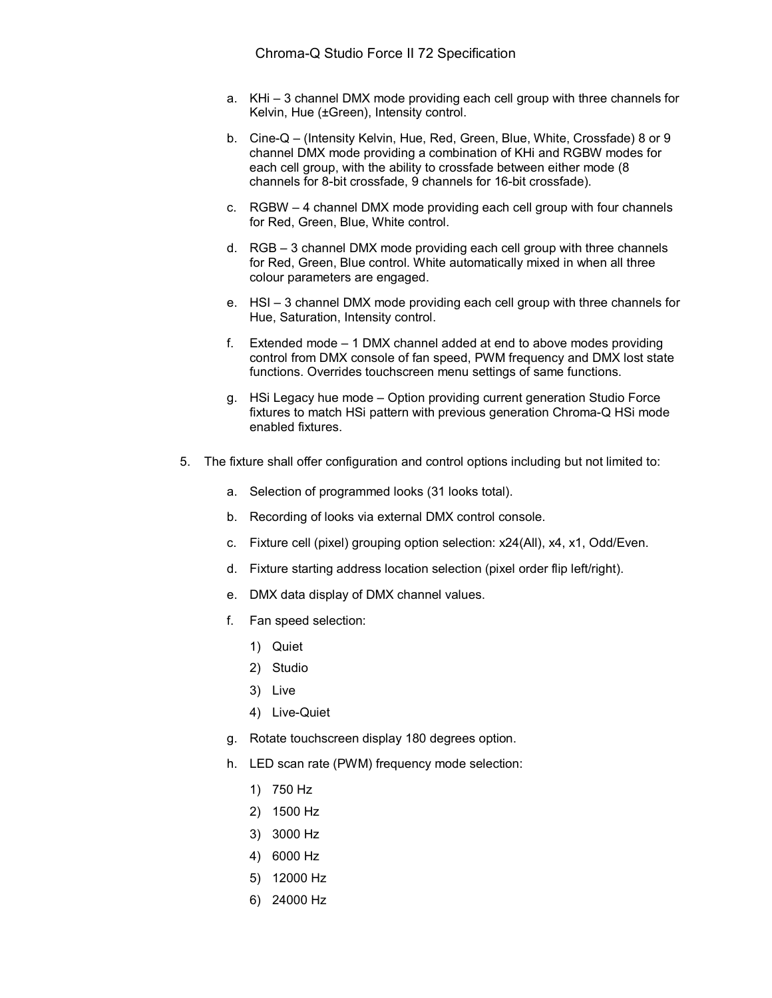- a. KHi 3 channel DMX mode providing each cell group with three channels for Kelvin, Hue (±Green), Intensity control.
- b. Cine-Q (Intensity Kelvin, Hue, Red, Green, Blue, White, Crossfade) 8 or 9 channel DMX mode providing a combination of KHi and RGBW modes for each cell group, with the ability to crossfade between either mode (8 channels for 8-bit crossfade, 9 channels for 16-bit crossfade).
- c. RGBW 4 channel DMX mode providing each cell group with four channels for Red, Green, Blue, White control.
- d. RGB 3 channel DMX mode providing each cell group with three channels for Red, Green, Blue control. White automatically mixed in when all three colour parameters are engaged.
- e. HSI 3 channel DMX mode providing each cell group with three channels for Hue, Saturation, Intensity control.
- f. Extended mode 1 DMX channel added at end to above modes providing control from DMX console of fan speed, PWM frequency and DMX lost state functions. Overrides touchscreen menu settings of same functions.
- g. HSi Legacy hue mode Option providing current generation Studio Force fixtures to match HSi pattern with previous generation Chroma-Q HSi mode enabled fixtures.
- 5. The fixture shall offer configuration and control options including but not limited to:
	- a. Selection of programmed looks (31 looks total).
	- b. Recording of looks via external DMX control console.
	- c. Fixture cell (pixel) grouping option selection: x24(All), x4, x1, Odd/Even.
	- d. Fixture starting address location selection (pixel order flip left/right).
	- e. DMX data display of DMX channel values.
	- f. Fan speed selection:
		- 1) Quiet
		- 2) Studio
		- 3) Live
		- 4) Live-Quiet
	- g. Rotate touchscreen display 180 degrees option.
	- h. LED scan rate (PWM) frequency mode selection:
		- 1) 750 Hz
		- 2) 1500 Hz
		- 3) 3000 Hz
		- 4) 6000 Hz
		- 5) 12000 Hz
		- 6) 24000 Hz